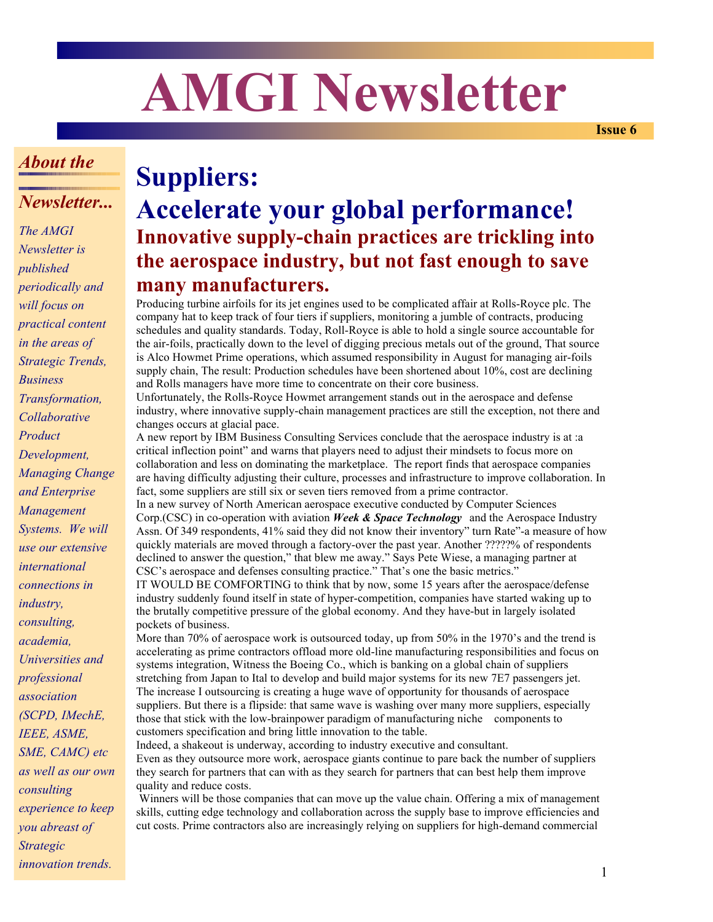# **AMGI Newsletter**

**Issue 6**

## *About the*

### *Newsletter...*

*The AMGI Newsletter is published periodically and will focus on practical content in the areas of Strategic Trends, Business Transformation, Collaborative Product Development, Managing Change and Enterprise Management Systems. We will use our extensive international connections in industry, consulting, academia, Universities and professional association (SCPD, IMechE, IEEE, ASME, SME, CAMC) etc as well as our own consulting experience to keep you abreast of Strategic innovation trends.*

# **Suppliers: Accelerate your global performance! Innovative supply-chain practices are trickling into the aerospace industry, but not fast enough to save many manufacturers.**

Producing turbine airfoils for its jet engines used to be complicated affair at Rolls-Royce plc. The company hat to keep track of four tiers if suppliers, monitoring a jumble of contracts, producing schedules and quality standards. Today, Roll-Royce is able to hold a single source accountable for the air-foils, practically down to the level of digging precious metals out of the ground, That source is Alco Howmet Prime operations, which assumed responsibility in August for managing air-foils supply chain, The result: Production schedules have been shortened about 10%, cost are declining and Rolls managers have more time to concentrate on their core business.

Unfortunately, the Rolls-Royce Howmet arrangement stands out in the aerospace and defense industry, where innovative supply-chain management practices are still the exception, not there and changes occurs at glacial pace.

A new report by IBM Business Consulting Services conclude that the aerospace industry is at :a critical inflection point" and warns that players need to adjust their mindsets to focus more on collaboration and less on dominating the marketplace. The report finds that aerospace companies are having difficulty adjusting their culture, processes and infrastructure to improve collaboration. In fact, some suppliers are still six or seven tiers removed from a prime contractor.

In a new survey of North American aerospace executive conducted by Computer Sciences Corp.(CSC) in co-operation with aviation *Week & Space Technology* and the Aerospace Industry Assn. Of 349 respondents, 41% said they did not know their inventory" turn Rate"-a measure of how quickly materials are moved through a factory-over the past year. Another ?????% of respondents declined to answer the question," that blew me away." Says Pete Wiese, a managing partner at CSC's aerospace and defenses consulting practice." That's one the basic metrics."

IT WOULD BE COMFORTING to think that by now, some 15 years after the aerospace/defense industry suddenly found itself in state of hyper-competition, companies have started waking up to the brutally competitive pressure of the global economy. And they have-but in largely isolated pockets of business.

More than 70% of aerospace work is outsourced today, up from 50% in the 1970's and the trend is accelerating as prime contractors offload more old-line manufacturing responsibilities and focus on systems integration, Witness the Boeing Co., which is banking on a global chain of suppliers stretching from Japan to Ital to develop and build major systems for its new 7E7 passengers jet. The increase I outsourcing is creating a huge wave of opportunity for thousands of aerospace suppliers. But there is a flipside: that same wave is washing over many more suppliers, especially those that stick with the low-brainpower paradigm of manufacturing niche components to customers specification and bring little innovation to the table.

Indeed, a shakeout is underway, according to industry executive and consultant. Even as they outsource more work, aerospace giants continue to pare back the number of suppliers they search for partners that can with as they search for partners that can best help them improve quality and reduce costs.

 Winners will be those companies that can move up the value chain. Offering a mix of management skills, cutting edge technology and collaboration across the supply base to improve efficiencies and cut costs. Prime contractors also are increasingly relying on suppliers for high-demand commercial